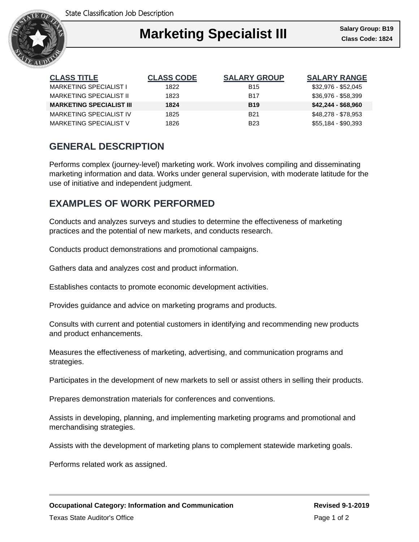

### I **Marketing Specialist III Class Code: 1824**

| <b>CLASS TITLE</b>              | <b>CLASS CODE</b> | <b>SALARY GROUP</b> | <b>SALARY RANGE</b> |
|---------------------------------|-------------------|---------------------|---------------------|
| <b>MARKETING SPECIALIST I</b>   | 1822              | <b>B</b> 15         | \$32,976 - \$52,045 |
| MARKETING SPECIALIST II         | 1823              | <b>B17</b>          | \$36,976 - \$58,399 |
| <b>MARKETING SPECIALIST III</b> | 1824              | <b>B19</b>          | $$42,244 - $68,960$ |
| MARKETING SPECIALIST IV         | 1825              | <b>B21</b>          | \$48,278 - \$78,953 |
| MARKETING SPECIALIST V          | 1826              | <b>B23</b>          | $$55,184 - $90,393$ |

## **GENERAL DESCRIPTION**

Performs complex (journey-level) marketing work. Work involves compiling and disseminating marketing information and data. Works under general supervision, with moderate latitude for the use of initiative and independent judgment.

## **EXAMPLES OF WORK PERFORMED**

Conducts and analyzes surveys and studies to determine the effectiveness of marketing practices and the potential of new markets, and conducts research.

Conducts product demonstrations and promotional campaigns.

Gathers data and analyzes cost and product information.

Establishes contacts to promote economic development activities.

Provides guidance and advice on marketing programs and products.

Consults with current and potential customers in identifying and recommending new products and product enhancements.

Measures the effectiveness of marketing, advertising, and communication programs and strategies.

Participates in the development of new markets to sell or assist others in selling their products.

Prepares demonstration materials for conferences and conventions.

Assists in developing, planning, and implementing marketing programs and promotional and merchandising strategies.

Assists with the development of marketing plans to complement statewide marketing goals.

Performs related work as assigned.